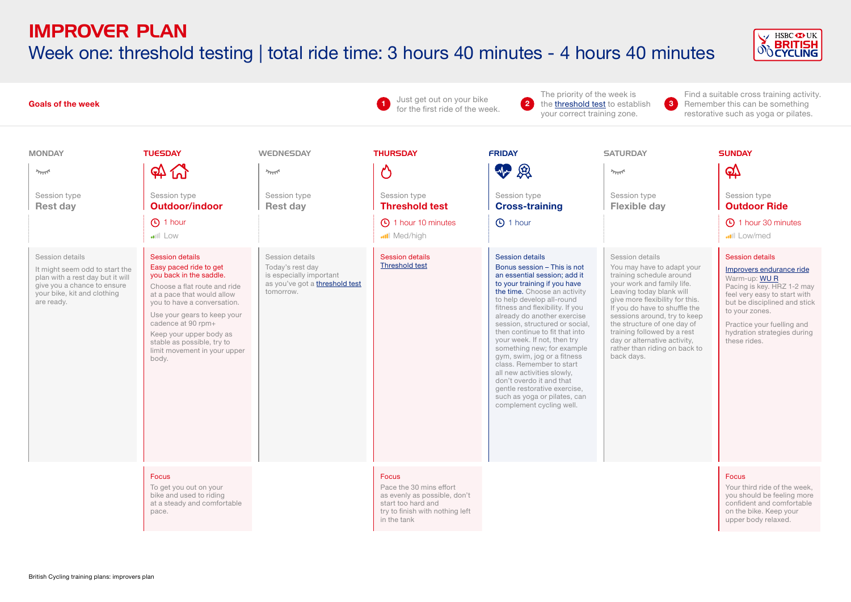# Week one: threshold testing | total ride time: 3 hours 40 minutes - 4 hours 40 minutes



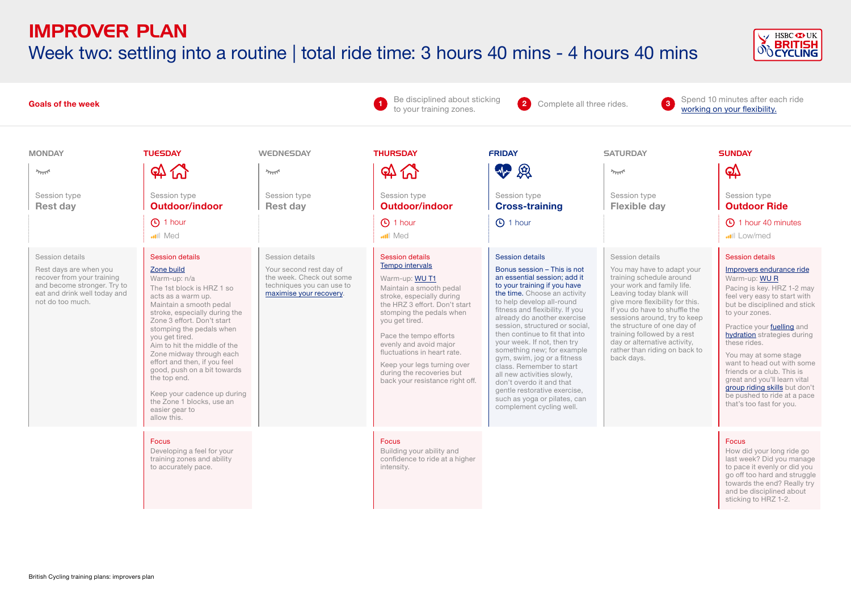# Week two: settling into a routine | total ride time: 3 hours 40 mins - 4 hours 40 mins



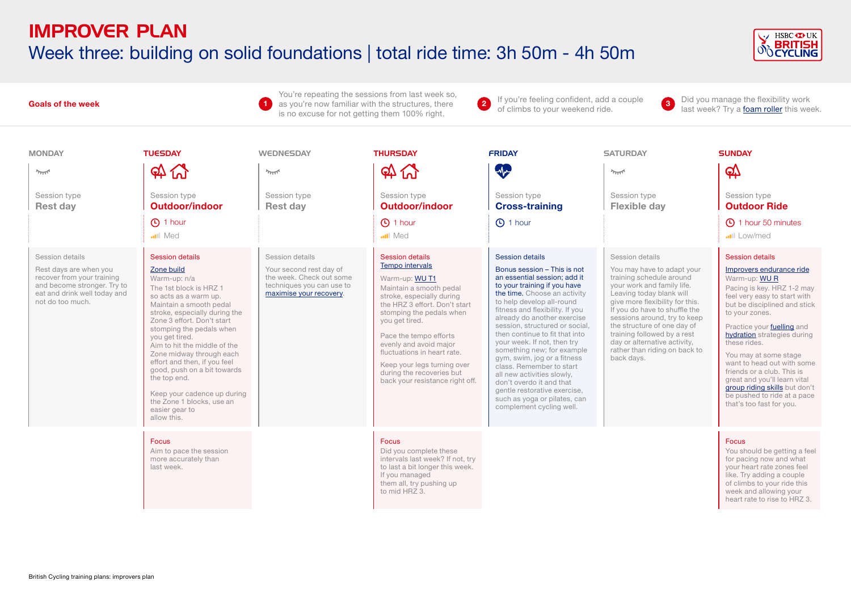# IMPROVER PLAN Week three: building on solid foundations | total ride time: 3h 50m - 4h 50m



#### You're repeating the sessions from last week so, 1 as you're now familiar with the structures, there **1** If you're feeling confident, add a couple as you're now familiar with the structures, there **1** of climbs to your weekend ride 2 If you're feeling confident, add a couple of climbs to your weekend ride. **3** Did you manage the flexibility work of climbs to your weekend ride. **Goals of the week**  is no excuse for not getting them 100% right. MONDAY TUESDAY WEDNESDAY THURSDAY FRIDAY SATURDAY SUNDAY  $\mathfrak{A}$   $\mathfrak{A}$ **SC**  $\Omega$   $\Omega$  $\mathbb{Q}$  $\gamma_{\overline{\rm{NN}}}$  $\sim$  $2\pi$ Session type Session type Session type Session type Session type Session type Session type **Rest day Outdoor/indoor Rest day Outdoor/indoor Cross-training Flexible day Outdoor Ride** 1 hour C 1 hour C 1 hour 1 hour 50 minutes **Med mil** Med **ull** Low/med Session details Session details Session details Session details Session details Session details Session details [Tempo intervals](https://www.britishcycling.org.uk/zuvvi/media/bc_files/sportivetrainingplans/improver_plan/IMPROVERS_TEMPO_INTERVALS.pdf) [Zone build](https://www.britishcycling.org.uk/zuvvi/media/bc_files/sportivetrainingplans/improver_plan/IMPROVERS_ZONE_BUILD.pdf) Your second rest day of Bonus session – This is not [Improvers endurance ride](https://www.britishcycling.org.uk/zuvvi/media/bc_files/sportivetrainingplans/improver_plan/IMPROVERS_ENDURANCE_RIDE.pdf) Rest days are when you You may have to adapt your recover from your training the week. Check out some an essential session; add it training schedule around Warm-up: n/a Warm-up: [WU T1](https://www.britishcycling.org.uk/zuvvi/media/bc_files/sportivetrainingplans/SPORTIVE_WARM_UP.pdf) Warm-up: [WU R](https://www.britishcycling.org.uk/zuvvi/media/bc_files/sportivetrainingplans/SPORTIVE_WARM_UP.pdf) and become stronger. Try to techniques you can use to to your training if you have your work and family life. The 1st block is HRZ 1 Pacing is key. HRZ 1-2 may Maintain a smooth pedal eat and drink well today and [maximise your recovery](https://www.britishcycling.org.uk/knowledge/article/izn20130108-Sportive-R-R--Maximise-your-post-ride-recovery-0). the time. Choose an activity Leaving today blank will so acts as a warm up. stroke, especially during feel very easy to start with not do too much. to help develop all-round give more flexibility for this. Maintain a smooth pedal the HRZ 3 effort. Don't start but be disciplined and stick fitness and flexibility. If you If you do have to shuffle the stroke, especially during the stomping the pedals when to your zones. already do another exercise sessions around, try to keep Zone 3 effort. Don't start you get tired. session, structured or social, the structure of one day of Practice your [fuelling](https://www.britishcycling.org.uk/knowledge/nutrition/eating-on-bike/article/izn20140305-Sportive-Nutritional-Timeline-0) and stomping the pedals when then continue to fit that into training followed by a rest [hydration](https://www.britishcycling.org.uk/knowledge/nutrition/drinking-on-bike/article/izn20140514-Nutrition-Hydration-101-0) strategies during you get tired. Pace the tempo efforts your week. If not, then try day or alternative activity, these rides. evenly and avoid major Aim to hit the middle of the something new; for example rather than riding on back to fluctuations in heart rate. Zone midway through each You may at some stage gym, swim, jog or a fitness back days. effort and then, if you feel want to head out with some Keep your legs turning over class. Remember to start good, push on a bit towards friends or a club. This is during the recoveries but all new activities slowly, the top end. great and you'll learn vital back your resistance right off. don't overdo it and that [group riding skills](https://www.britishcycling.org.uk/knowledge/skills/sportives-ridesmart/article/izn20151117-Sportives--Ridesmart--Related-How-to-ride-in-a-group---Ridesmart-0) but don't gentle restorative exercise, Keep your cadence up during be pushed to ride at a pace such as yoga or pilates, can the Zone 1 blocks, use an that's too fast for you. complement cycling well. easier gear to allow this. Focus Focus Focus Aim to pace the session Did you complete these You should be getting a feel more accurately than intervals last week? If not, try for pacing now and what last week. to last a bit longer this week. your heart rate zones feel If you managed like. Try adding a couple them all, try pushing up of climbs to your ride this to mid HRZ 3. week and allowing your heart rate to rise to HRZ 3.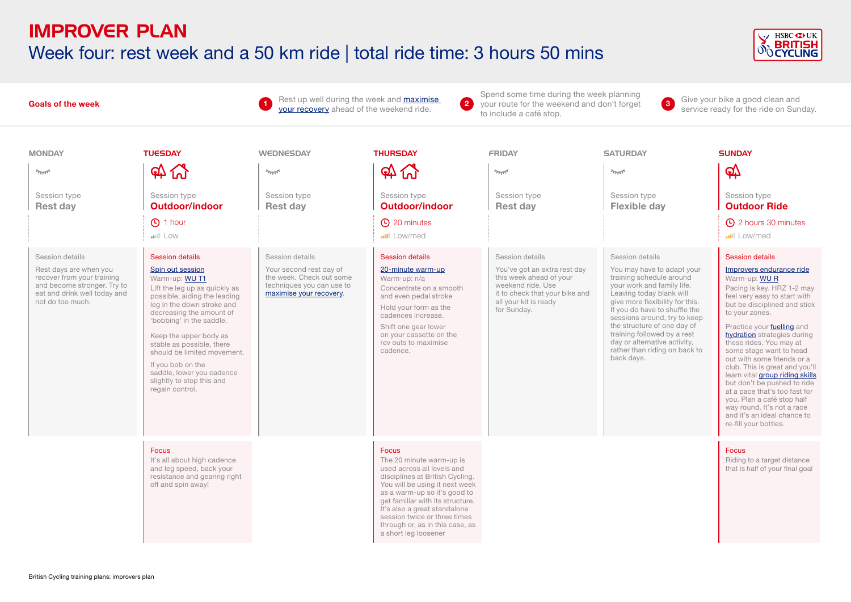### IMPROVER PLAN Week four: rest week and a 50 km ride | total ride time: 3 hours 50 mins



#### Spend some time during the week planning **3** Give your bike a good clean and<br>service ready for the ride on Sunday. Rest up well during the week and [maximise](https://www.britishcycling.org.uk/knowledge/article/izn20130108-Sportive-R-R--Maximise-your-post-ride-recovery-0)  2 your route for the weekend and don't forget **3** Give your bike a good clean and **Goals of the week**  [your recovery](https://www.britishcycling.org.uk/knowledge/article/izn20130108-Sportive-R-R--Maximise-your-post-ride-recovery-0) ahead of the weekend ride. **<sup>1</sup>** to include a café stop. MONDAY TUESDAY WEDNESDAY THURSDAY FRIDAY SATURDAY SUNDAY  $\mathfrak{A}$   $\mathfrak{A}$  $\Omega$   $\Omega$ 6∆  $\overline{\gamma_{\rm TIT}}$  $2\pi R$  $\sim$  $2\pi$ Session type Session type Session type Session type Session type Session type Session type **Rest day Outdoor/indoor Rest day Outdoor/indoor Rest day Flexible day Outdoor Ride**  $\overline{1}$  hour  $\overline{2}$  minutes 2 hours 30 minutes Low Low/med**ull** Low/med Session details Session details Session details Session details Session details Session details Session details [Spin out session](https://www.britishcycling.org.uk/zuvvi/media/bc_files/sportivetrainingplans/2014/IZ_Rollers_Sessions_Spin_Out.pdf) Your second rest day of [20-minute warm-up](https://www.britishcycling.org.uk/zuvvi/media/bc_files/sportivetrainingplans/20_MINUTE_WARM_UP.pdf) You've got an extra rest day [Improvers endurance ride](https://www.britishcycling.org.uk/zuvvi/media/bc_files/sportivetrainingplans/improver_plan/IMPROVERS_ENDURANCE_RIDE.pdf) Rest days are when you You may have to adapt your recover from your training the week. Check out some this week ahead of your training schedule around Warm-up: [WU T1](https://www.britishcycling.org.uk/zuvvi/media/bc_files/sportivetrainingplans/SPORTIVE_WARM_UP.pdf) Warm-up: n/a Warm-up: [WU R](https://www.britishcycling.org.uk/zuvvi/media/bc_files/sportivetrainingplans/SPORTIVE_WARM_UP.pdf) and become stronger. Try to techniques you can use to weekend ride. Use your work and family life. Concentrate on a smooth Pacing is key. HRZ 1-2 may Lift the leg up as quickly as eat and drink well today and [maximise your recovery](https://www.britishcycling.org.uk/knowledge/article/izn20130108-Sportive-R-R--Maximise-your-post-ride-recovery-0). it to check that your bike and Leaving today blank will possible, aiding the leading and even pedal stroke feel very easy to start with not do too much. all your kit is ready give more flexibility for this. leg in the down stroke and but be disciplined and stick Hold your form as the for Sunday. If you do have to shuffle the decreasing the amount of to your zones. cadences increase. sessions around, try to keep 'bobbing' in the saddle. Shift one gear lower the structure of one day of Practice your [fuelling](https://www.britishcycling.org.uk/knowledge/nutrition/eating-on-bike/article/izn20140305-Sportive-Nutritional-Timeline-0) and training followed by a rest on your cassette on the [hydration](https://www.britishcycling.org.uk/knowledge/nutrition/drinking-on-bike/article/izn20140514-Nutrition-Hydration-101-0) strategies during Keep the upper body as rev outs to maximise day or alternative activity, these rides. You may at stable as possible, there rather than riding on back to should be limited movement. cadence. some stage want to head back days. out with some friends or a If you bob on the club. This is great and you'll saddle, lower you cadence learn vital [group riding skills](https://www.britishcycling.org.uk/knowledge/skills/sportives-ridesmart/article/izn20151117-Sportives--Ridesmart--Related-How-to-ride-in-a-group---Ridesmart-0) slightly to stop this and but don't be pushed to ride regain control. at a pace that's too fast for you. Plan a café stop half way round. It's not a race and it's an ideal chance to re-fill your bottles. Focus Focus Focus It's all about high cadence The 20 minute warm-up is Riding to a target distance and leg speed, back your used across all levels and that is half of your final goal resistance and gearing right disciplines at British Cycling. off and spin away! You will be using it next week as a warm-up so it's good to get familiar with its structure. It's also a great standalone session twice or three times through or, as in this case, as a short leg loosener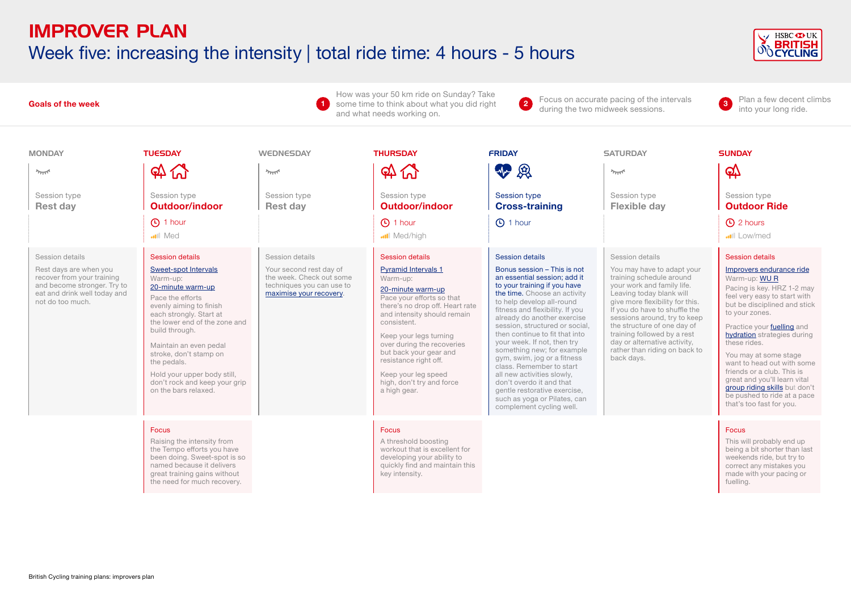## IMPROVER PLAN Week five: increasing the intensity | total ride time: 4 hours - 5 hours



#### **Goals of the week**

How was your 50 km ride on Sunday? Take **1** some time to think about what you did right **1** Focus on accurate pacing of the intervals served the intervals and what needs working on.

**2** Focus on accurate pacing of the intervals during the two midweek sessions. **3** Plan a few decent climbs

into your long ride. **<sup>3</sup>**

| <b>MONDAY</b>                                                                                                                                              | <b>TUESDAY</b>                                                                                                                                                                                                                                                                                                                                                          | WEDNESDAY                                                                                                                      | <b>THURSDAY</b>                                                                                                                                                                                                                                                                                                                                                                    | <b>FRIDAY</b>                                                                                                                                                                                                                                                                                                                                                                                                                                                                                                                                                                                   | <b>SATURDAY</b>                                                                                                                                                                                                                                                                                                                                                                      | <b>SUNDAY</b>                                                                                                                                                                                                                                                                                                                                                                                                                                                                    |
|------------------------------------------------------------------------------------------------------------------------------------------------------------|-------------------------------------------------------------------------------------------------------------------------------------------------------------------------------------------------------------------------------------------------------------------------------------------------------------------------------------------------------------------------|--------------------------------------------------------------------------------------------------------------------------------|------------------------------------------------------------------------------------------------------------------------------------------------------------------------------------------------------------------------------------------------------------------------------------------------------------------------------------------------------------------------------------|-------------------------------------------------------------------------------------------------------------------------------------------------------------------------------------------------------------------------------------------------------------------------------------------------------------------------------------------------------------------------------------------------------------------------------------------------------------------------------------------------------------------------------------------------------------------------------------------------|--------------------------------------------------------------------------------------------------------------------------------------------------------------------------------------------------------------------------------------------------------------------------------------------------------------------------------------------------------------------------------------|----------------------------------------------------------------------------------------------------------------------------------------------------------------------------------------------------------------------------------------------------------------------------------------------------------------------------------------------------------------------------------------------------------------------------------------------------------------------------------|
| $2\pi$                                                                                                                                                     | $\mathfrak{A}$ $\mathfrak{A}$                                                                                                                                                                                                                                                                                                                                           | $\sim$                                                                                                                         | $\mathfrak{A}$ $\mathfrak{A}$                                                                                                                                                                                                                                                                                                                                                      | 12                                                                                                                                                                                                                                                                                                                                                                                                                                                                                                                                                                                              | $\gamma_{\rm TIT}$                                                                                                                                                                                                                                                                                                                                                                   | <u>රු</u>                                                                                                                                                                                                                                                                                                                                                                                                                                                                        |
| Session type<br><b>Rest day</b>                                                                                                                            | Session type<br><b>Outdoor/indoor</b>                                                                                                                                                                                                                                                                                                                                   | Session type<br><b>Rest day</b>                                                                                                | Session type<br><b>Outdoor/indoor</b>                                                                                                                                                                                                                                                                                                                                              | <b>Session type</b><br><b>Cross-training</b>                                                                                                                                                                                                                                                                                                                                                                                                                                                                                                                                                    | Session type<br><b>Flexible day</b>                                                                                                                                                                                                                                                                                                                                                  | Session type<br><b>Outdoor Ride</b>                                                                                                                                                                                                                                                                                                                                                                                                                                              |
|                                                                                                                                                            | (4) 1 hour<br><b>ull</b> Med                                                                                                                                                                                                                                                                                                                                            |                                                                                                                                | <b>1</b> hour<br>Med/high                                                                                                                                                                                                                                                                                                                                                          | <b>1</b> hour                                                                                                                                                                                                                                                                                                                                                                                                                                                                                                                                                                                   |                                                                                                                                                                                                                                                                                                                                                                                      | <b>4</b> 2 hours<br>Low/med                                                                                                                                                                                                                                                                                                                                                                                                                                                      |
| Session details<br>Rest days are when you<br>recover from your training<br>and become stronger. Try to<br>eat and drink well today and<br>not do too much. | <b>Session details</b><br>Sweet-spot Intervals<br>Warm-up:<br>20-minute warm-up<br>Pace the efforts<br>evenly aiming to finish<br>each strongly. Start at<br>the lower end of the zone and<br>build through.<br>Maintain an even pedal<br>stroke, don't stamp on<br>the pedals.<br>Hold your upper body still,<br>don't rock and keep your grip<br>on the bars relaxed. | Session details<br>Your second rest day of<br>the week. Check out some<br>techniques you can use to<br>maximise your recovery. | <b>Session details</b><br><b>Pyramid Intervals 1</b><br>Warm-up:<br>20-minute warm-up<br>Pace your efforts so that<br>there's no drop off. Heart rate<br>and intensity should remain<br>consistent.<br>Keep your legs turning<br>over during the recoveries<br>but back your gear and<br>resistance right off.<br>Keep your leg speed<br>high, don't try and force<br>a high gear. | Session details<br>Bonus session - This is not<br>an essential session: add it<br>to your training if you have<br>the time. Choose an activity<br>to help develop all-round<br>fitness and flexibility. If you<br>already do another exercise<br>session, structured or social.<br>then continue to fit that into<br>your week. If not, then try<br>something new; for example<br>gym, swim, jog or a fitness<br>class. Remember to start<br>all new activities slowly,<br>don't overdo it and that<br>gentle restorative exercise,<br>such as yoga or Pilates, can<br>complement cycling well. | Session details<br>You may have to adapt your<br>training schedule around<br>your work and family life.<br>Leaving today blank will<br>give more flexibility for this.<br>If you do have to shuffle the<br>sessions around, try to keep<br>the structure of one day of<br>training followed by a rest<br>day or alternative activity,<br>rather than riding on back to<br>back days. | <b>Session details</b><br>Improvers endurance ride<br>Warm-up: WUR<br>Pacing is key. HRZ 1-2 may<br>feel very easy to start with<br>but be disciplined and stick<br>to your zones.<br>Practice your fuelling and<br>hydration strategies during<br>these rides.<br>You may at some stage<br>want to head out with some<br>friends or a club. This is<br>great and you'll learn vital<br>group riding skills but don't<br>be pushed to ride at a pace<br>that's too fast for you. |
|                                                                                                                                                            | <b>Focus</b><br>Raising the intensity from<br>the Tempo efforts you have<br>been doing. Sweet-spot is so<br>named because it delivers<br>great training gains without<br>the need for much recovery.                                                                                                                                                                    |                                                                                                                                | <b>Focus</b><br>A threshold boosting<br>workout that is excellent for<br>developing your ability to<br>quickly find and maintain this<br>key intensity.                                                                                                                                                                                                                            |                                                                                                                                                                                                                                                                                                                                                                                                                                                                                                                                                                                                 |                                                                                                                                                                                                                                                                                                                                                                                      | <b>Focus</b><br>This will probably end up<br>being a bit shorter than last<br>weekends ride, but try to<br>correct any mistakes you<br>made with your pacing or<br>fuelling.                                                                                                                                                                                                                                                                                                     |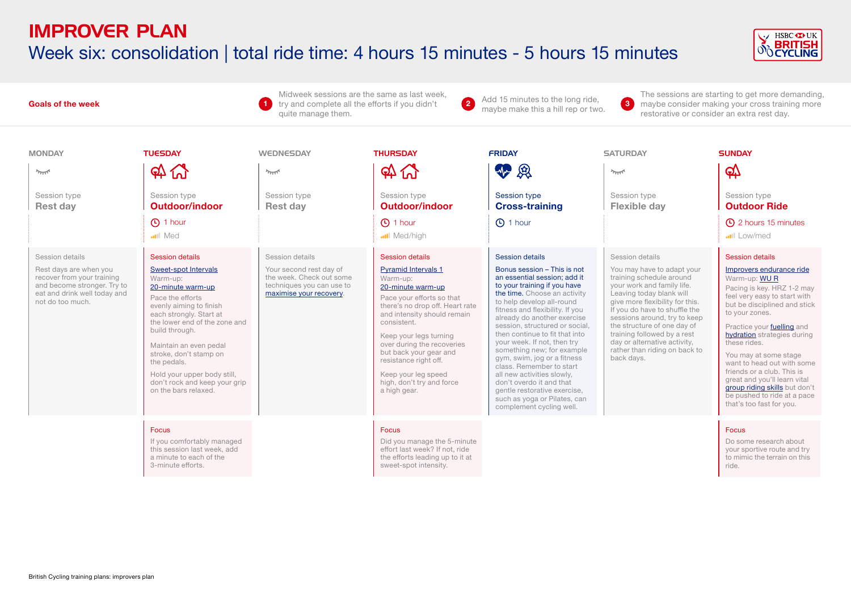# IMPROVER PLAN Week six: consolidation | total ride time: 4 hours 15 minutes - 5 hours 15 minutes



#### **Goals of the week**

Midweek sessions are the same as last week, try and complete all the efforts if you didn't **2** Add 15 minutes to the long ride, quite manage them.

**2** Add 15 minutes to the long ride,<br>maybe make this a hill rep or two.

**3**

The sessions are starting to get more demanding, maybe consider making your cross training more restorative or consider an extra rest day.

| <b>MONDAY</b>                                                                                                                                              | <b>TUESDAY</b>                                                                                                                                                                                                                                                                                                                                                          | <b>WEDNESDAY</b>                                                                                                               | <b>THURSDAY</b>                                                                                                                                                                                                                                                                                                                                                             | <b>FRIDAY</b>                                                                                                                                                                                                                                                                                                                                                                                                                                                                                                                                                                                          | <b>SATURDAY</b>                                                                                                                                                                                                                                                                                                                                                                      | <b>SUNDAY</b>                                                                                                                                                                                                                                                                                                                                                                                                                                                                           |
|------------------------------------------------------------------------------------------------------------------------------------------------------------|-------------------------------------------------------------------------------------------------------------------------------------------------------------------------------------------------------------------------------------------------------------------------------------------------------------------------------------------------------------------------|--------------------------------------------------------------------------------------------------------------------------------|-----------------------------------------------------------------------------------------------------------------------------------------------------------------------------------------------------------------------------------------------------------------------------------------------------------------------------------------------------------------------------|--------------------------------------------------------------------------------------------------------------------------------------------------------------------------------------------------------------------------------------------------------------------------------------------------------------------------------------------------------------------------------------------------------------------------------------------------------------------------------------------------------------------------------------------------------------------------------------------------------|--------------------------------------------------------------------------------------------------------------------------------------------------------------------------------------------------------------------------------------------------------------------------------------------------------------------------------------------------------------------------------------|-----------------------------------------------------------------------------------------------------------------------------------------------------------------------------------------------------------------------------------------------------------------------------------------------------------------------------------------------------------------------------------------------------------------------------------------------------------------------------------------|
| $2\pi$                                                                                                                                                     | $\mathfrak{A}$ $\mathfrak{A}$                                                                                                                                                                                                                                                                                                                                           | $2\pi$                                                                                                                         | $\mathfrak{A}$ $\mathfrak{A}$                                                                                                                                                                                                                                                                                                                                               | 亚奥                                                                                                                                                                                                                                                                                                                                                                                                                                                                                                                                                                                                     | $\sim$                                                                                                                                                                                                                                                                                                                                                                               | $\mathfrak{P}$                                                                                                                                                                                                                                                                                                                                                                                                                                                                          |
| Session type<br><b>Rest day</b>                                                                                                                            | Session type<br>Outdoor/indoor                                                                                                                                                                                                                                                                                                                                          | Session type<br><b>Rest day</b>                                                                                                | Session type<br>Outdoor/indoor                                                                                                                                                                                                                                                                                                                                              | <b>Session type</b><br><b>Cross-training</b>                                                                                                                                                                                                                                                                                                                                                                                                                                                                                                                                                           | Session type<br><b>Flexible day</b>                                                                                                                                                                                                                                                                                                                                                  | Session type<br><b>Outdoor Ride</b>                                                                                                                                                                                                                                                                                                                                                                                                                                                     |
|                                                                                                                                                            | <b>4</b> 1 hour<br>Med                                                                                                                                                                                                                                                                                                                                                  |                                                                                                                                | <b>1</b> hour<br><b></b> Med/high                                                                                                                                                                                                                                                                                                                                           | <b>4</b> 1 hour                                                                                                                                                                                                                                                                                                                                                                                                                                                                                                                                                                                        |                                                                                                                                                                                                                                                                                                                                                                                      | <b>4</b> 2 hours 15 minutes<br><b>ull</b> Low/med                                                                                                                                                                                                                                                                                                                                                                                                                                       |
| Session details<br>Rest days are when you<br>recover from your training<br>and become stronger. Try to<br>eat and drink well today and<br>not do too much. | <b>Session details</b><br>Sweet-spot Intervals<br>Warm-up:<br>20-minute warm-up<br>Pace the efforts<br>evenly aiming to finish<br>each strongly. Start at<br>the lower end of the zone and<br>build through.<br>Maintain an even pedal<br>stroke, don't stamp on<br>the pedals.<br>Hold your upper body still,<br>don't rock and keep your grip<br>on the bars relaxed. | Session details<br>Your second rest day of<br>the week. Check out some<br>techniques you can use to<br>maximise your recovery. | Session details<br><b>Pyramid Intervals 1</b><br>Warm-up:<br>20-minute warm-up<br>Pace your efforts so that<br>there's no drop off. Heart rate<br>and intensity should remain<br>consistent.<br>Keep your legs turning<br>over during the recoveries<br>but back your gear and<br>resistance right off.<br>Keep your leg speed<br>high, don't try and force<br>a high gear. | <b>Session details</b><br>Bonus session - This is not<br>an essential session: add it<br>to your training if you have<br>the time. Choose an activity<br>to help develop all-round<br>fitness and flexibility. If you<br>already do another exercise<br>session, structured or social.<br>then continue to fit that into<br>your week. If not, then try<br>something new; for example<br>gym, swim, jog or a fitness<br>class. Remember to start<br>all new activities slowly,<br>don't overdo it and that<br>gentle restorative exercise,<br>such as yoga or Pilates, can<br>complement cycling well. | Session details<br>You may have to adapt your<br>training schedule around<br>your work and family life.<br>Leaving today blank will<br>give more flexibility for this.<br>If you do have to shuffle the<br>sessions around, try to keep<br>the structure of one day of<br>training followed by a rest<br>day or alternative activity,<br>rather than riding on back to<br>back days. | <b>Session details</b><br>Improvers endurance ride<br>Warm-up: WUR<br>Pacing is key. HRZ 1-2 may<br>feel very easy to start with<br>but be disciplined and stick<br>to your zones.<br>Practice your fuelling and<br><b>hydration</b> strategies during<br>these rides.<br>You may at some stage<br>want to head out with some<br>friends or a club. This is<br>great and you'll learn vital<br>group riding skills but don't<br>be pushed to ride at a pace<br>that's too fast for you. |
|                                                                                                                                                            | <b>Focus</b><br>If you comfortably managed<br>this session last week, add<br>a minute to each of the<br>3-minute efforts.                                                                                                                                                                                                                                               |                                                                                                                                | Focus<br>Did you manage the 5-minute<br>effort last week? If not, ride<br>the efforts leading up to it at<br>sweet-spot intensity.                                                                                                                                                                                                                                          |                                                                                                                                                                                                                                                                                                                                                                                                                                                                                                                                                                                                        |                                                                                                                                                                                                                                                                                                                                                                                      | Focus<br>Do some research about<br>your sportive route and try<br>to mimic the terrain on this<br>ride.                                                                                                                                                                                                                                                                                                                                                                                 |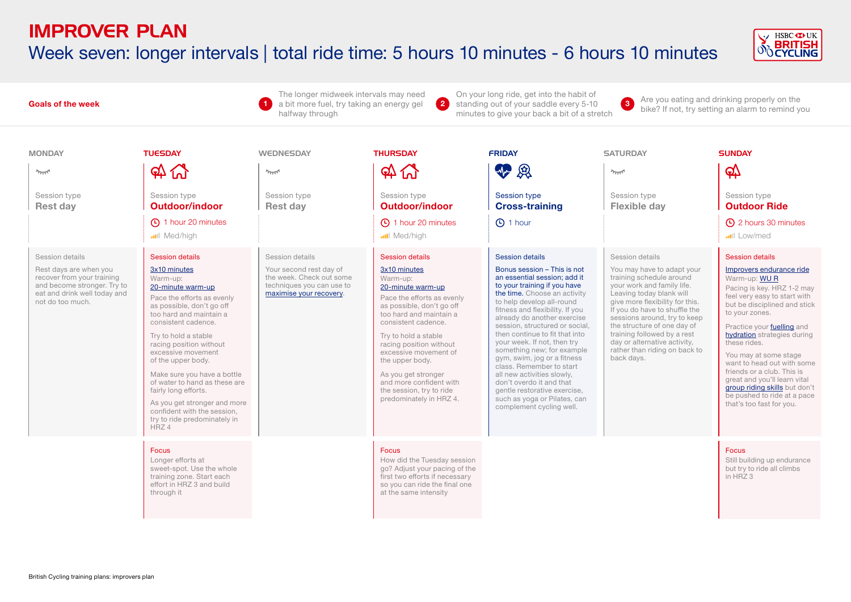# Week seven: longer intervals | total ride time: 5 hours 10 minutes - 6 hours 10 minutes



The longer midweek intervals may need On your long ride, get into the habit of **3** Are you eating and drinking properly on the bike? If not, try setting an alarm to remind you **2** standing out of your saddle every 5-10 **3** Are you eating and drinking properly on the **Goals of the week**  a bit more fuel, try taking an energy gel **1** halfway through minutes to give your back a bit of a stretch MONDAY TUESDAY WEDNESDAY THURSDAY FRIDAY SATURDAY SUNDAY  $\mathfrak{A}$   $\mathfrak{A}$ **42 Q**  $\Omega$   $\Omega$  $\mathbb{Q}$  $2\pi R$  $\sim$  $2\pi$ Session type Session type Session type Session type Session type Session type Session type **Rest day Outdoor/indoor Rest day Outdoor/indoor Cross-training Flexible day Outdoor Ride** (C) 1 hour 20 minutes 1 and 1 hour 20 minutes **① 1 hour** 2 hours 30 minutes Med/high Med/high **ull** Low/med Session details Session details Session details Session details Session details Session details Session details [3x10 minutes](https://www.britishcycling.org.uk/zuvvi/media/bc_files/sportivetrainingplans/improver_plan/IMPROVERS_3X10_MINUTES.pdf) Your second rest day of [3x10 minutes](https://www.britishcycling.org.uk/zuvvi/media/bc_files/sportivetrainingplans/improver_plan/IMPROVERS_3X10_MINUTES.pdf) Bonus session – This is not [Improvers endurance ride](https://www.britishcycling.org.uk/zuvvi/media/bc_files/sportivetrainingplans/improver_plan/IMPROVERS_ENDURANCE_RIDE.pdf) Rest days are when you You may have to adapt your recover from your training the week. Check out some an essential session; add it training schedule around Warm-up: Warm-up: Warm-up: [WU R](https://www.britishcycling.org.uk/zuvvi/media/bc_files/sportivetrainingplans/SPORTIVE_WARM_UP.pdf) and become stronger. Try to techniques you can use to to your training if you have your work and family life. [20-minute warm-up](https://www.britishcycling.org.uk/zuvvi/media/bc_files/sportivetrainingplans/20_MINUTE_WARM_UP.pdf) 20-minute warm-up Pacing is key. HRZ 1-2 may eat and drink well today and [maximise your recovery](https://www.britishcycling.org.uk/knowledge/article/izn20130108-Sportive-R-R--Maximise-your-post-ride-recovery-0). the time. Choose an activity Leaving today blank will Pace the efforts as evenly Pace the efforts as evenly feel very easy to start with not do too much. to help develop all-round give more flexibility for this. but be disciplined and stick as possible, don't go off as possible, don't go off If you do have to shuffle the fitness and flexibility. If you to your zones. too hard and maintain a too hard and maintain a sessions around, try to keep already do another exercise consistent cadence. consistent cadence. session, structured or social, the structure of one day of Practice your [fuelling](https://www.britishcycling.org.uk/knowledge/nutrition/eating-on-bike/article/izn20140305-Sportive-Nutritional-Timeline-0) and then continue to fit that into training followed by a rest [hydration](https://www.britishcycling.org.uk/knowledge/nutrition/drinking-on-bike/article/izn20140514-Nutrition-Hydration-101-0) strategies during Try to hold a stable Try to hold a stable your week. If not, then try day or alternative activity, these rides. racing position without racing position without something new; for example rather than riding on back to excessive movement excessive movement of You may at some stage gym, swim, jog or a fitness back days. of the upper body. the upper body. want to head out with some class. Remember to start friends or a club. This is Make sure you have a bottle As you get stronger all new activities slowly, great and you'll learn vital of water to hand as these are and more confident with don't overdo it and that [group riding skills](https://www.britishcycling.org.uk/knowledge/skills/sportives-ridesmart/article/izn20151117-Sportives--Ridesmart--Related-How-to-ride-in-a-group---Ridesmart-0) but don't fairly long efforts. the session, try to ride gentle restorative exercise, be pushed to ride at a pace predominately in HRZ 4. such as yoga or Pilates, can As you get stronger and more that's too fast for you. complement cycling well. confident with the session, try to ride predominately in HRZ 4 Focus Focus Focus Longer efforts at How did the Tuesday session Still building up endurance sweet-spot. Use the whole go? Adjust your pacing of the but try to ride all climbs training zone. Start each first two efforts if necessary  $in$  HRZ 3 effort in HRZ 3 and build so you can ride the final one through it at the same intensity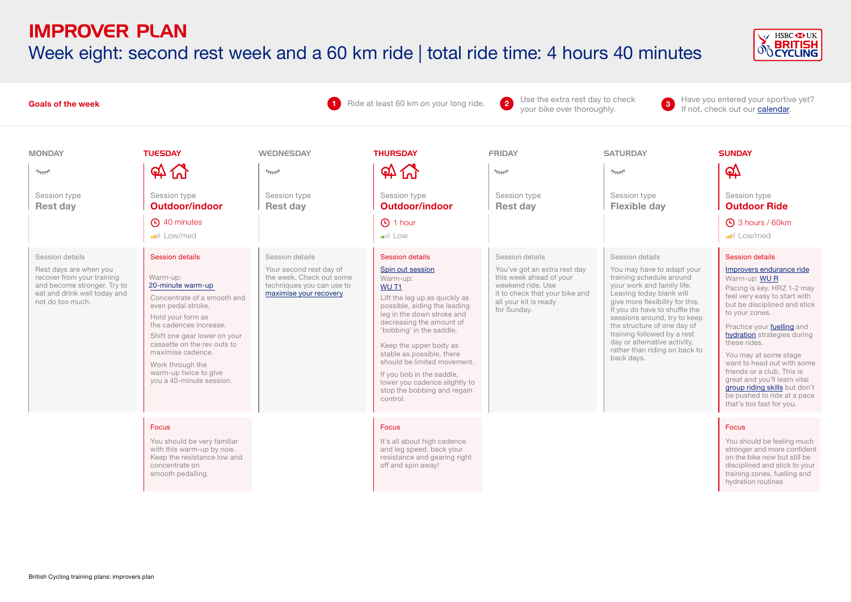#### IMPROVER PLAN Week eight: second rest week and a 60 km ride | total ride time: 4 hours 40 minutes



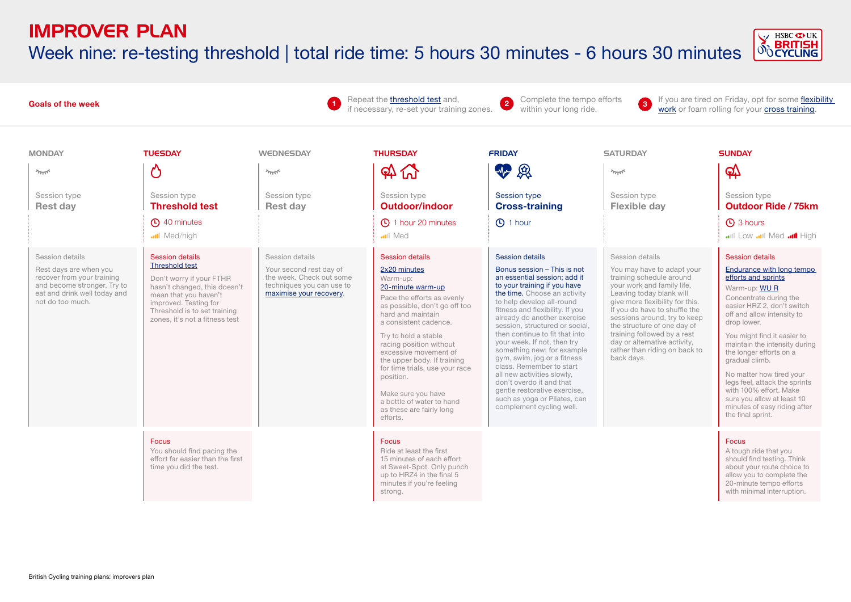Week nine: re-testing threshold | total ride time: 5 hours 30 minutes - 6 hours 30 minutes



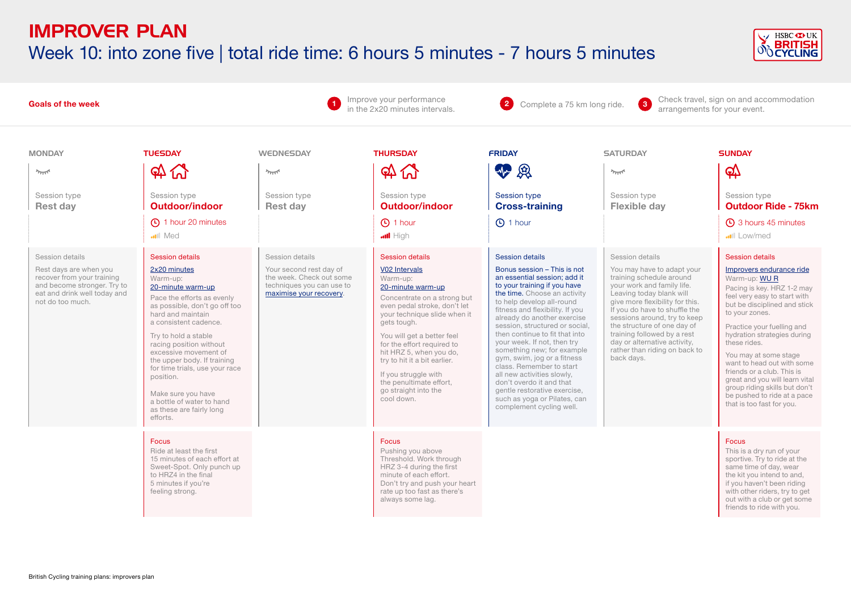## IMPROVER PLAN Week 10: into zone five | total ride time: 6 hours 5 minutes - 7 hours 5 minutes



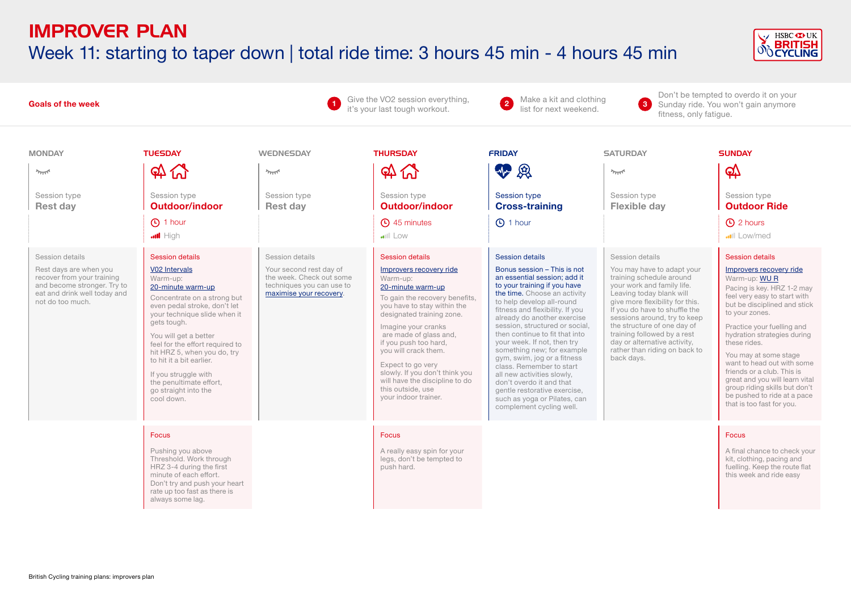# IMPROVER PLAN Week 11: starting to taper down | total ride time: 3 hours 45 min - 4 hours 45 min



| <b>Goals of the week</b>                                                                                                                                                                                                |                                                                                                                                                                                                                                                                                                                                                                                                                                                                                                                           |                                                                                                                                                                                                             | Give the VO2 session everything,<br>it's your last tough workout.                                                                                                                                                                                                                                                                                                                                                                                                                                                                             | Don't be tempted to overdo it on your<br>Make a kit and clothing<br>$\lceil 3 \rceil$<br>Sunday ride. You won't gain anymore<br>list for next weekend.<br>fitness, only fatique.                                                                                                                                                                                                                                                                                                                                                                                                                                                                                                                  |                                                                                                                                                                                                                                                                                                                                                                                                                                                         |                                                                                                                                                                                                                                                                                                                                                                                                                                                                                                                                                                                             |
|-------------------------------------------------------------------------------------------------------------------------------------------------------------------------------------------------------------------------|---------------------------------------------------------------------------------------------------------------------------------------------------------------------------------------------------------------------------------------------------------------------------------------------------------------------------------------------------------------------------------------------------------------------------------------------------------------------------------------------------------------------------|-------------------------------------------------------------------------------------------------------------------------------------------------------------------------------------------------------------|-----------------------------------------------------------------------------------------------------------------------------------------------------------------------------------------------------------------------------------------------------------------------------------------------------------------------------------------------------------------------------------------------------------------------------------------------------------------------------------------------------------------------------------------------|---------------------------------------------------------------------------------------------------------------------------------------------------------------------------------------------------------------------------------------------------------------------------------------------------------------------------------------------------------------------------------------------------------------------------------------------------------------------------------------------------------------------------------------------------------------------------------------------------------------------------------------------------------------------------------------------------|---------------------------------------------------------------------------------------------------------------------------------------------------------------------------------------------------------------------------------------------------------------------------------------------------------------------------------------------------------------------------------------------------------------------------------------------------------|---------------------------------------------------------------------------------------------------------------------------------------------------------------------------------------------------------------------------------------------------------------------------------------------------------------------------------------------------------------------------------------------------------------------------------------------------------------------------------------------------------------------------------------------------------------------------------------------|
| <b>MONDAY</b><br>يمللو<br>Session type<br><b>Rest day</b><br>Session details<br>Rest days are when you<br>recover from your training<br>and become stronger. Try to<br>eat and drink well today and<br>not do too much. | <b>TUESDAY</b><br><b>A W</b><br>Session type<br><b>Outdoor/indoor</b><br><b>4</b> 1 hour<br>$\blacksquare$ High<br><b>Session details</b><br>V02 Intervals<br>Warm-up:<br>20-minute warm-up<br>Concentrate on a strong but<br>even pedal stroke, don't let<br>your technique slide when it<br>gets tough.<br>You will get a better<br>feel for the effort required to<br>hit HRZ 5, when you do, try<br>to hit it a bit earlier.<br>If you struggle with<br>the penultimate effort,<br>go straight into the<br>cool down. | <b>WEDNESDAY</b><br>$\gamma_{\rm TUT}$<br>Session type<br><b>Rest day</b><br>Session details<br>Your second rest day of<br>the week. Check out some<br>techniques you can use to<br>maximise your recovery. | <b>THURSDAY</b><br>$\mathfrak{P} \mathfrak{C}$<br>Session type<br><b>Outdoor/indoor</b><br>45 minutes<br>$  $ Low<br><b>Session details</b><br>Improvers recovery ride<br>Warm-up:<br>20-minute warm-up<br>To gain the recovery benefits,<br>you have to stay within the<br>designated training zone.<br>Imagine your cranks<br>are made of glass and,<br>if you push too hard,<br>you will crack them.<br>Expect to go very<br>slowly. If you don't think you<br>will have the discipline to do<br>this outside, use<br>your indoor trainer. | <b>FRIDAY</b><br>4-8<br><b>Session type</b><br><b>Cross-training</b><br><b>4</b> 1 hour<br><b>Session details</b><br>Bonus session - This is not<br>an essential session; add it<br>to your training if you have<br>the time. Choose an activity<br>to help develop all-round<br>fitness and flexibility. If you<br>already do another exercise<br>session, structured or social.<br>then continue to fit that into<br>your week. If not, then try<br>something new; for example<br>gym, swim, jog or a fitness<br>class. Remember to start<br>all new activities slowly,<br>don't overdo it and that<br>gentle restorative exercise,<br>such as yoga or Pilates, can<br>complement cycling well. | <b>SATURDAY</b><br>يمللو<br>Session type<br><b>Flexible day</b><br>Session details<br>You may have to adapt your<br>training schedule around<br>your work and family life.<br>Leaving today blank will<br>give more flexibility for this.<br>If you do have to shuffle the<br>sessions around, try to keep<br>the structure of one day of<br>training followed by a rest<br>day or alternative activity,<br>rather than riding on back to<br>back days. | <b>SUNDAY</b><br>$\mathfrak{P}$<br>Session type<br><b>Outdoor Ride</b><br><b>4</b> 2 hours<br>Low/med<br><b>Session details</b><br>Improvers recovery ride<br>Warm-up: WUR<br>Pacing is key. HRZ 1-2 may<br>feel very easy to start with<br>but be disciplined and stick<br>to your zones.<br>Practice your fuelling and<br>hydration strategies during<br>these rides.<br>You may at some stage<br>want to head out with some<br>friends or a club. This is<br>great and you will learn vital<br>group riding skills but don't<br>be pushed to ride at a pace<br>that is too fast for you. |
|                                                                                                                                                                                                                         | <b>Focus</b><br>Pushing you above<br>Threshold. Work through<br>HRZ 3-4 during the first<br>minute of each effort.<br>Don't try and push your heart<br>rate up too fast as there is<br>always some lag.                                                                                                                                                                                                                                                                                                                   |                                                                                                                                                                                                             | <b>Focus</b><br>A really easy spin for your<br>legs, don't be tempted to<br>push hard.                                                                                                                                                                                                                                                                                                                                                                                                                                                        |                                                                                                                                                                                                                                                                                                                                                                                                                                                                                                                                                                                                                                                                                                   |                                                                                                                                                                                                                                                                                                                                                                                                                                                         | <b>Focus</b><br>A final chance to check your<br>kit, clothing, pacing and<br>fuelling. Keep the route flat<br>this week and ride easy                                                                                                                                                                                                                                                                                                                                                                                                                                                       |